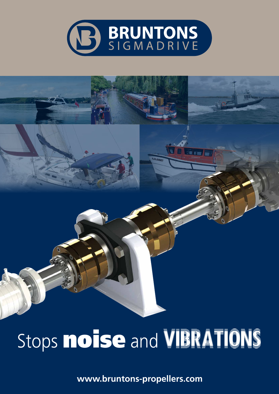

# Stops **noise** and VIBRATIONS

**www.bruntons-propellers.com**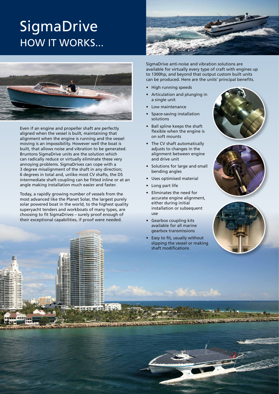# **SigmaDrive** HOW IT WORKS...



Even if an engine and propeller shaft are perfectly aligned when the vessel is built, maintaining that alignment when the engine is running and the vessel moving is an impossibility. However well the boat is built, that allows noise and vibration to be generated. Bruntons SigmaDrive units are the solution which can radically reduce or virtually eliminate these very annoying problems. SigmaDrives can cope with a 3 degree misalignment of the shaft in any direction; 6 degrees in total and, unlike most CV shafts, the DS intermediate shaft coupling can be fitted inline or at an angle making installation much easier and faster.

Today, a rapidly growing number of vessels from the most advanced like the Planet Solar, the largest purely solar powered boat in the world, to the highest quality superyacht tenders and workboats of many types, are choosing to fit SigmaDrives – surely proof enough of their exceptional capabilities, if proof were needed.



SigmaDrive anti-noise and vibration solutions are available for virtually every type of craft with engines up to 1300hp, and beyond that output custom built units can be produced. Here are the units' principal benefits.

- • High running speeds
- Articulation and plunging in a single unit
- Low maintenance
- Space-saving installation solutions
- Ball spline keeps the shaft flexible when the engine is on soft mounts
- • The CV shaft automatically adjusts to changes in the alignment between engine and drive unit
- • Solutions for large and small bending angles
- Uses optimised material
- • Long part life
- • Eliminates the need for accurate engine alignment, either during initial installation or subsequent use
- **Gearbox coupling kits** available for all marine gearbox transmissions
- Easy to fit, usually without slipping the vessel or making shaft modifications





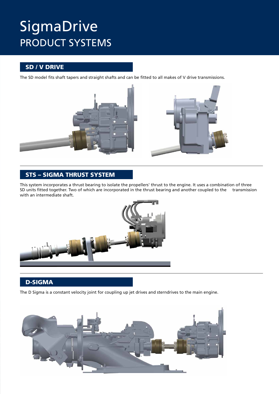## **SigmaDrive** PRODUCT SYSTEMS

#### SD / V DRIVE

The SD model fits shaft tapers and straight shafts and can be fitted to all makes of V drive transmissions.





#### STS – Sigma thrust system

This system incorporates a thrust bearing to isolate the propellers' thrust to the engine. It uses a combination of three SD units fitted together. Two of which are incorporated in the thrust bearing and another coupled to the transmission with an intermediate shaft.



#### D-Sigma

The D Sigma is a constant velocity joint for coupling up jet drives and sterndrives to the main engine.